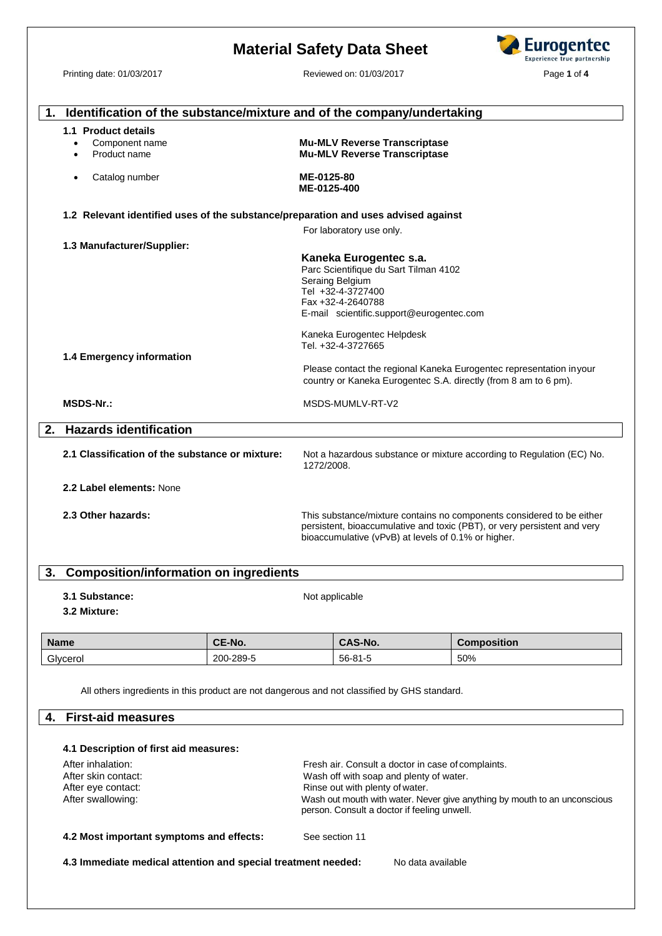# **Eurogentec Material Safety Data Sheet** Experience true partnership Printing date: 01/03/2017 Reviewed on: 01/03/2017 Page **1** of **4 1. Identification of the substance/mixture and of the company/undertaking 1.1 Product details** · Component name **Mu-MLV Reverse Transcriptase Mu-MLV Reverse Transcriptase** Catalog number **ME-0125-80 ME-0125-400 1.2 Relevant identified uses of the substance/preparation and uses advised against** For laboratory use only. **1.3 Manufacturer/Supplier: Kaneka Eurogentec s.a.** Parc Scientifique du Sart Tilman 4102 Seraing Belgium Tel +32-4-3727400 Fax +32-4-2640788 E-mail scientific.support@eurogentec.com Kaneka Eurogentec Helpdesk Tel. +32-4-3727665 **1.4 Emergency information** Please contact the regional Kaneka Eurogentec representation inyour country or Kaneka Eurogentec S.A. directly (from 8 am to 6 pm). **MSDS-Nr.:** MSDS-MUMLV-RT-V2 **2. Hazards identification 2.1 Classification of the substance or mixture:** Not a hazardous substance or mixture according to Regulation (EC) No. 1272/2008. **2.2 Label elements:** None **2.3 Other hazards:** This substance/mixture contains no components considered to be either persistent, bioaccumulative and toxic (PBT), or very persistent and very bioaccumulative (vPvB) at levels of 0.1% or higher. **3. Composition/information on ingredients 3.1 Substance:** Not applicable

**3.2 Mixture:**

| <b>Name</b> | CE-No.    | <b>CAS-No.</b> | <b>Composition</b> |
|-------------|-----------|----------------|--------------------|
| Glycerol    | 200-289-5 | 56-81-5        | 50%                |

All others ingredients in this product are not dangerous and not classified by GHS standard.

#### **4. First-aid measures**

| After inhalation:   | Fresh air. Consult a doctor in case of complaints.                                                                       |
|---------------------|--------------------------------------------------------------------------------------------------------------------------|
| After skin contact: | Wash off with soap and plenty of water.                                                                                  |
| After eye contact:  | Rinse out with plenty of water.                                                                                          |
| After swallowing:   | Wash out mouth with water. Never give anything by mouth to an unconscious<br>person. Consult a doctor if feeling unwell. |

**4.2 Most important symptoms and effects:** See section 11

**4.3 Immediate medical attention and special treatment needed:** No data available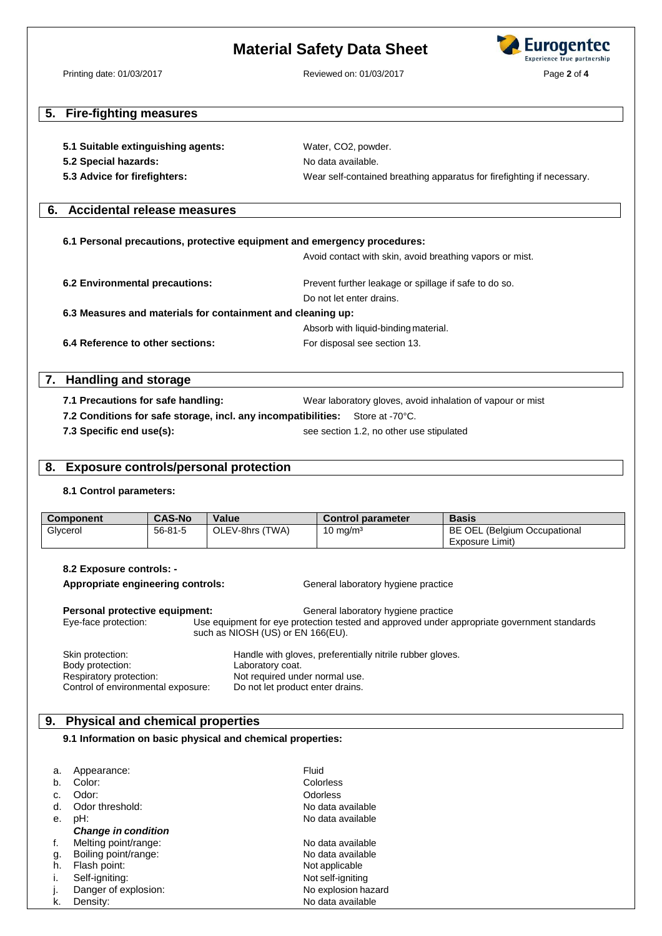# **Material Safety Data Sheet**



Printing date: 01/03/2017 Reviewed on: 01/03/2017 Page **2** of **4**

# **5. Fire-fighting measures**

| 5.1 Suitable extinguishing agents: | Water, CO2, powder.                                                    |
|------------------------------------|------------------------------------------------------------------------|
| 5.2 Special hazards:               | No data available.                                                     |
| 5.3 Advice for firefighters:       | Wear self-contained breathing apparatus for firefighting if necessary. |

### **6. Accidental release measures**

#### **6.1 Personal precautions, protective equipment and emergency procedures:**

Avoid contact with skin, avoid breathing vapors or mist.

**6.2 Environmental precautions:** Prevent further leakage or spillage if safe to do so. Do not let enter drains. **6.3 Measures and materials for containment and cleaning up:** Absorb with liquid-bindingmaterial. **6.4 Reference to other sections:** For disposal see section 13.

# **7. Handling and storage**

**7.1 Precautions for safe handling:** Wear laboratory gloves, avoid inhalation of vapour or mist

**7.2 Conditions for safe storage, incl. any incompatibilities:** Store at -70°C.

**7.3 Specific end use(s):** see section 1.2, no other use stipulated

#### **8. Exposure controls/personal protection**

#### **8.1 Control parameters:**

| <b>Component</b> | <b>CAS-No</b> | Value           | <b>Control parameter</b> | <b>Basis</b>                 |
|------------------|---------------|-----------------|--------------------------|------------------------------|
| Glycerol         | 56-81-5       | OLEV-8hrs (TWA) | $10 \text{ mg/m}^3$      | BE OEL (Belgium Occupational |
|                  |               |                 |                          | Exposure Limit)              |

#### **8.2 Exposure controls: -**

**Appropriate engineering controls:** General laboratory hygiene practice **Personal protective equipment:** General laboratory hygiene practice Eye-face protection: Use equipment for eye protection tested and approved under appropriate government standards such as NIOSH (US) or EN 166(EU). Skin protection: **Handle with gloves, preferentially nitrile rubber gloves.** Body protection: Laboratory coat. Respiratory protection: Not required under normal use.<br>Control of environmental exposure: Do not let product enter drains.

#### **9. Physical and chemical properties**

Control of environmental exposure:

#### **9.1 Information on basic physical and chemical properties:**

| a. | Appearance:                | Fluid               |
|----|----------------------------|---------------------|
| b. | Color:                     | Colorless           |
|    | Odor:                      | <b>Odorless</b>     |
| d. | Odor threshold:            | No data available   |
| е. | pH:                        | No data available   |
|    | <b>Change in condition</b> |                     |
| f. | Melting point/range:       | No data available   |
| g. | Boiling point/range:       | No data available   |
| h. | Flash point:               | Not applicable      |
| Τ. | Self-igniting:             | Not self-igniting   |
| J. | Danger of explosion:       | No explosion hazard |
| k. | Density:                   | No data available   |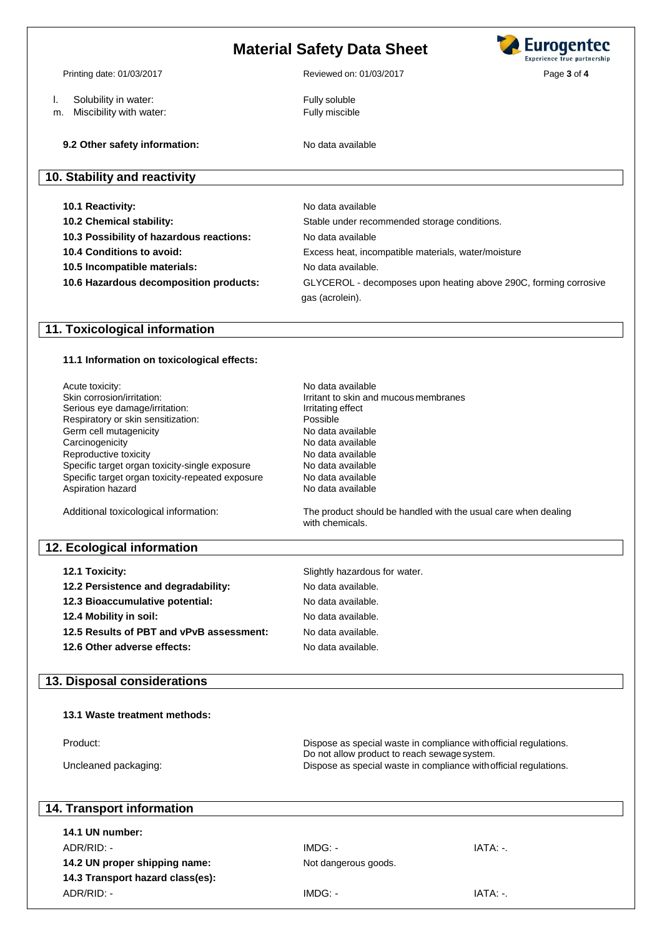# **Material Safety Data Sheet**

- l. Solubility in water: Fully soluble
- m. Miscibility with water: Fully miscible

**9.2 Other safety information:** No data available

# **10. Stability and reactivity**

**10.1 Reactivity:** No data available

**10.3 Possibility of hazardous reactions:** No data available

- 
- 

**10.2 Chemical stability:** Stable under recommended storage conditions. **10.4 Conditions to avoid:** Excess heat, incompatible materials, water/moisture **10.5 Incompatible materials:** No data available. **10.6 Hazardous decomposition products:** GLYCEROL - decomposes upon heating above 290C, forming corrosive gas (acrolein).

### **11. Toxicological information**

#### **11.1 Information on toxicological effects:**

| Acute toxicity:                                  | No data available                                                                 |
|--------------------------------------------------|-----------------------------------------------------------------------------------|
| Skin corrosion/irritation:                       | Irritant to skin and mucous membranes                                             |
| Serious eye damage/irritation:                   | Irritating effect                                                                 |
| Respiratory or skin sensitization:               | Possible                                                                          |
| Germ cell mutagenicity                           | No data available                                                                 |
| Carcinogenicity                                  | No data available                                                                 |
| Reproductive toxicity                            | No data available                                                                 |
| Specific target organ toxicity-single exposure   | No data available                                                                 |
| Specific target organ toxicity-repeated exposure | No data available                                                                 |
| Aspiration hazard                                | No data available                                                                 |
| Additional toxicological information:            | The product should be handled with the usual care when dealing<br>with chemicals. |
| 12. Ecological information                       |                                                                                   |
| 12.1 Toxicity:                                   | Slightly hazardous for water.                                                     |
|                                                  |                                                                                   |
| 12.2 Persistence and degradability:              | No data available.                                                                |
| 12.3 Bioaccumulative potential:                  | No data available.                                                                |
| 12.4 Mobility in soil:                           | No data available.                                                                |
| 12.5 Results of PBT and vPvB assessment:         | No data available.                                                                |
| 12.6 Other adverse effects:                      | No data available.                                                                |
|                                                  |                                                                                   |
| 13. Disposal considerations                      |                                                                                   |
| 13.1 Waste treatment methods:                    |                                                                                   |
|                                                  |                                                                                   |
| Product:                                         | Dispose as special waste in compliance with official regulations.                 |
|                                                  | Do not allow product to reach sewage system.                                      |
| Uncleaned packaging:                             | Dispose as special waste in compliance with official regulations.                 |
|                                                  |                                                                                   |
|                                                  |                                                                                   |

# **14. Transport information**

**14.1 UN number:** ADR/RID: - IMDG: - IATA: -. **14.2 UN proper shipping name:** Not dangerous goods. **14.3 Transport hazard class(es):** ADR/RID: - IMDG: - IATA: -.